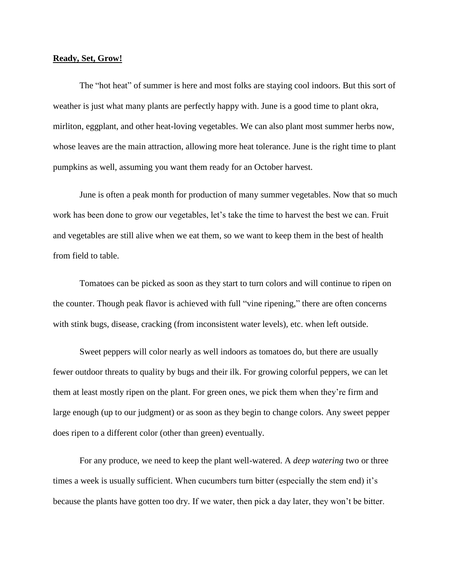## **Ready, Set, Grow!**

The "hot heat" of summer is here and most folks are staying cool indoors. But this sort of weather is just what many plants are perfectly happy with. June is a good time to plant okra, mirliton, eggplant, and other heat-loving vegetables. We can also plant most summer herbs now, whose leaves are the main attraction, allowing more heat tolerance. June is the right time to plant pumpkins as well, assuming you want them ready for an October harvest.

June is often a peak month for production of many summer vegetables. Now that so much work has been done to grow our vegetables, let's take the time to harvest the best we can. Fruit and vegetables are still alive when we eat them, so we want to keep them in the best of health from field to table.

Tomatoes can be picked as soon as they start to turn colors and will continue to ripen on the counter. Though peak flavor is achieved with full "vine ripening," there are often concerns with stink bugs, disease, cracking (from inconsistent water levels), etc. when left outside.

Sweet peppers will color nearly as well indoors as tomatoes do, but there are usually fewer outdoor threats to quality by bugs and their ilk. For growing colorful peppers, we can let them at least mostly ripen on the plant. For green ones, we pick them when they're firm and large enough (up to our judgment) or as soon as they begin to change colors. Any sweet pepper does ripen to a different color (other than green) eventually.

For any produce, we need to keep the plant well-watered. A *deep watering* two or three times a week is usually sufficient. When cucumbers turn bitter (especially the stem end) it's because the plants have gotten too dry. If we water, then pick a day later, they won't be bitter.